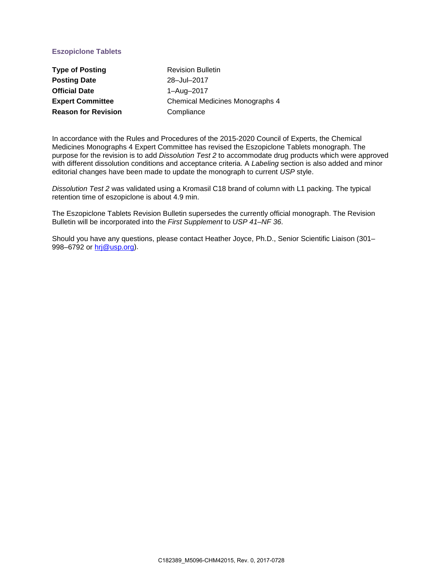## **Eszopiclone Tablets**

| <b>Type of Posting</b>     | <b>Revision Bulletin</b>        |
|----------------------------|---------------------------------|
| <b>Posting Date</b>        | 28-Jul-2017                     |
| <b>Official Date</b>       | 1-Aug-2017                      |
| <b>Expert Committee</b>    | Chemical Medicines Monographs 4 |
| <b>Reason for Revision</b> | Compliance                      |

In accordance with the Rules and Procedures of the 2015-2020 Council of Experts, the Chemical Medicines Monographs 4 Expert Committee has revised the Eszopiclone Tablets monograph. The purpose for the revision is to add *Dissolution Test 2* to accommodate drug products which were approved with different dissolution conditions and acceptance criteria. A *Labeling* section is also added and minor editorial changes have been made to update the monograph to current *USP* style.

*Dissolution Test 2* was validated using a Kromasil C18 brand of column with L1 packing. The typical retention time of eszopiclone is about 4.9 min.

The Eszopiclone Tablets Revision Bulletin supersedes the currently official monograph. The Revision Bulletin will be incorporated into the *First Supplement* to *USP 41–NF 36*.

Should you have any questions, please contact Heather Joyce, Ph.D., Senior Scientific Liaison (301– 998–6792 or [hrj@usp.org\)](mailto:hrj@usp.org).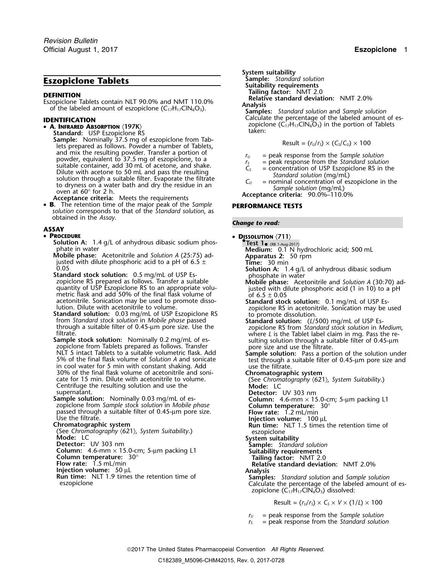# **Eszopiclone Tablets**<br>**Sample:** *Standard solution*<br>**REFINITION CELLIFION** Tailing factor: NMT 2.0

**DEFINITION**<br>Eszopiclone Tablets contain NLT 90.0% and NMT 110.0%<br>of the labeled amount of eszopiclone (C<sub>17</sub>H<sub>17</sub>ClN<sub>6</sub>O<sub>3</sub>). **Analysis Analysis** Samples: Standard solution and Sample solution

**A. INFRARED ABSORPTION**  $\langle$  197K $\rangle$ <br> **Standard:** USP Eszopiclone RS<br> **Sample:** Nominally 37.5 mg of eszopiclone from Tab-Sample: Nominally 37.5 mg of eszopicione from Tab-<br>lets prepared as follows. Powder a number of Tablets, and mix the resulting powder. Transfer a portion of<br>powder, equivalent to 37.5 mg of eszopiclone, to a<br>suitable container, add 30 mL of acetone, and shake.<br>Dilute with acetone to 50 mL and pass the resulting<br>solution thro

• **B.** The retention time of the major peak of the *Sample* **PERFORMANCE TESTS** *solution* corresponds to that of the *Standard solution*, as obtained in the *Assay*. *Change to read:*

### **ASSAY**

### • **PROCEDURE** •

**COLUTION** (711)<br> **Solution A:** 1.4 g/L of anhydrous dibasic sodium phos-<br> **• DISSOLUTION** (711)<br> **PLESS 1.4** (RB 1.4ug.2017)<br> **Medium:** 0.1 N hydrochloric acid; 500 mL

phate in water<br> **Mobile phase:** Acetonitrile and Solution A (25:75) ad-<br>
justed with dilute phosphoric acid to a pH of 6.5  $\pm$  **Time:** 30 min

- 0.05 **Solution A:** 1.4 g/L of anhydrous dibasic sodium **Standard stock solution:** 0.5 mg/mL of USP Es- <sup>p</sup>hosphate in water zopiclone RS prepared as follows. Transfer a suitable **Mobile phase:** Acetonitrile and *Solution A* (30:70) ad quantity of USP Eszopiclone RS to an appropriate volu- justed with dilute phosphoric acid (1 in 10) to a pH<br>metric flask and add 50% of the final flask volume of other of 6.5 ± 0.05
- 
- NLT 5 intact Tablets to a suitable volumetric flask. Add<br>
5% of the final flask volume of Solution A and sonicate<br>
in cool water for 5 min with constant shaking. Add<br>
30% of the final flask volume of acetonitrile and soni-30% of the final flask volume of acetonitrile and soni-<br>cate for 15 min. Dilute with acetonitrile to volume. (See Chromatography  $\langle 621 \rangle$ , System Suitability.)<br>Centrifuge the resulting solution and use the Mode: LC
- supernatant. **Detector:** UV 303 nm zopiclone from *Sample stock solution* in *Mobile phase* **Column temperature:** 30° passed through a suitable filter of 0.45-µm pore size.<br>Use the filtrate. Use the filtrate. **Injection volume:** 100 µL<br>**Chromatographic system Injection volume:** 100 µL<br>**Run time:** NLT 1.5 times

(See *Chromatography* 〈621〉*, System Suitability*.) eszopiclone **Mode:** LC **System suitability Detector:** UV 303 nm **Sample:** *Standard solution*

**Column:** 4.6-mm × 15.0-cm; 5-µm packing L1 **Suitability requirements**<br> **Column temperature:** 30° **Tailing factor:** NMT 2.0<br> **Flow rate:** 1.5 mL/min **Tailing factor:** NMT 2.0

**Injection volume:** 50 µL<br>**Run time:** NLT 1.9 times the retention time of **Samples:** *Standard solution* and *Sample solution*<br>Calculate the percentage of the labeled amount

**System suitability**

Calculate the percentage of the labeled amount of es- **IDENTIFICATION** zopiclone  $(C_{17}H_{17}CIN_6O_3)$  in the portion of Tablets taken:

- 
- 
- 
- 

Test  $1_{\bullet}$  (RB 1-Aug-2017)

- 
- 
- 

metric tlask and add 50% of the final flask volume of  $\frac{6.5 \pm 0.05}{2}$ <br>
lution. Dilute with acetonitrile to volume.<br> **Standard solution:** 0.03 mg/mL of USP Eszopiclone RS standard solution: 0.03 mg/mL of USP Eszopiclone

**Column:** 4.6-mm × 15.0-cm; 5-µm packing L1

- 
- 

**Run time:** NLT 1.5 times the retention time of

**Flow rate:** 1.5 mL/min **Relative standard deviation:** NMT 2.0% **Relative standard deviation:** NMT 2.0%

Calculate the percentage of the labeled amount of eszopiclone  $(C_{17}H_{17}CIN_6O_3)$  dissolved:

Result =  $(r_U/r_S) \times C_S \times V \times (1/L) \times 100$ 

*<sup>r</sup><sup>U</sup>* = peak response from the *Sample solution*

*<sup>r</sup><sup>S</sup>* = peak response from the *Standard solution*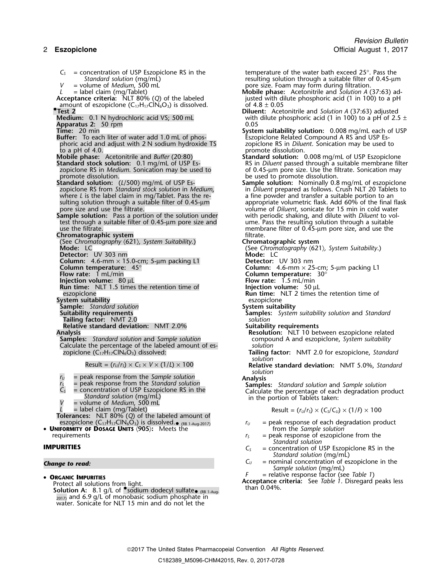$C<sub>S</sub>$  = concentration of USP Eszopiclone RS in the temperature of the water bath exceed 25°. Pass the standard solution (mg/mL) examples a suitable filter of 0.45-µn *V* = volume of *Medium*, 500 mL<br> *L* = label claim (mg/Tablet) **pore size. Foam may form during filtration.**<br> **Mobile phase:** Acetonitrile and Solution A ( *L* = label claim (mg/Tablet) **Mobile phase:** Acetonitrile and *Solution A* (37:63) ad-**Acceptance criteria:** NLT 80% (Q) of the labeled in a justed with dilute phosphoric acid (1 in 100) to a pH amount of eszopiclone (C<sub>17</sub>H<sub>17</sub>ClN<sub>6</sub>O<sub>3</sub>) is dissolved. of 4.8 ± 0.05 **•**<br>**Place transformation .Test 2 Diluent:** Acetonitrile and *Solution A* (37:63) adjusted **Apparatus 2: 50 rpm**<br>**Time:** 20 min **Buffer:** To each liter of water add 1.0 mL of phos-<br>phoric acid and adjust with 2 N sodium hydroxide TS phoric acid and adjust with 2 N sodium hydroxide TS zopiclone RS in *Diluent*. Sonication may be used to to a pH of 4.0.<br>**Mobile phase:** Acetonitrile and *Buffer* (20:80) **promote dissolution:** (**Mobile phase:** Acetonitrile and *Buffer* (20:80) **Mobile phase:** Acetonitrile and *Buffer* (20:80) **Standard solution:** 0.008 mg/mL of USP Eszopiclone zopiclone RS in *Medium*. Sonication may be used to of 0.45-µm pore size. Use the filtrate. Sonication may<br>promote dissolution. **Standard solution:** (*L*/500) mg/mL of USP Es-<br>zopiclone RS from Standard stock solution in Medium, where *L* is the label claim in mg/Tablet. Pass the re-<br>sulting solution through a suitable filter of 0.45-µm **Sample solution:** Pass a portion of the solution under test through a suitable filter of 0.45-µm pore size and<br>use the filtrate. **Chromatographic system**<br>
(See Chromatography (621), System Suitability.) **Chromatographic system** (See *Chromatography* 〈621〉*, System Suitability*.) **Chromatographic system Detector:** UV 303 nm **Column:** 4.6-mm × 15.0-cm; 5-µm packing L1 **Detector:** UV 303 nm<br>**Column temperature:** 45°<br>**Flow rate:** 1 mL/min **Detector:** Column: 4.6-mm × 25 **Column temperature:** 45° **Column:** 4.6-mm × 25-cm; 5-µm packing L1 **Flow rate:** 1 mL/min **Column temperature:** 30° **Injection volume:**  $80 \mu L$ <br>**Run time:** NLT 1.5 times the retention time of **Flow rate:** 1.5 mL/min **Run time:** NLT 1.5 times the retention time of eszopiclone **System suitability**<br> **Sample:** Standard solution<br> **System suitability**<br> **System suitability Sample:** *Standard solution*<br>**Suitability requirements Tailing factor:** NMT 2.0 *solution* **Relative standard deviation:** NMT 2.0%<br>**Analysis Samples:** *Standard solution* and *Sample solution* compound Compound A compound A and establishing compound A compound A compound A algority compound A and the percentage of the labeled amount of es-Calculate the percentage of the labeled amount of es-<br>*zopiclone*  $(C_{17}H_{17}ClN_6O_3)$  dissolved:

- 
- 
- 
- 
- 
- 

**Tolerances:** NLT 80% (*Q*) of the labeled amount of eszopiclone (C $_{17}$ H $_{17}$ ClN $_{6}$ O $_{3})$  is dissolved. $_{\bullet}$ 

• **UNIFORMITY OF DOSAGE UNITS** 〈**905**〉**:** Meets the from the *Sample solution* requirements *r*<sub>S</sub> = peak response of eszopiclone from the

- - $_{2017}$ ) and 6.9 g/L of monobasic sodium phosphate in water. Sonicate for NLT 15 min and do not let the

*Standard solution* (mg/mL) resulting solution through a suitable filter of 0.45-µm = volume of *Medium*, 500 mL

- with dilute phosphoric acid (1 in 100) to a pH of 2.5  $\pm$  0.05
- **System suitability solution:** 0.008 mg/mL each of USP<br>Eszopiclone Related Compound A RS and USP Es-

**Standard stock solution:** 0.1 mg/mL of USP Es- RS in *Diluent* passed through a suitable membrane filter zopiclone RS in *Medium*. Sonication may be used to contrast of 0.45-um pore size. Use the filtrate. Sonication may

- be used to promote dissolution.<br>**Sample solution:** Nominally 0.8 mg/mL of eszopiclone in *Diluent* prepared as follows. Crush NLT 20 Tablets to a fine powder and transfer a suitable portion to an sulting solution through a suitable filter of 0.45-µm appropriate volumetric flask. Add 60% of the final flask<br>pore size and use the filtrate. volume of *Diluent*, sonicate for 15 min in cold water with periodic shaking, and dilute with *Diluent* to volume. Pass the resulting solution through a suitable<br>membrane filter of 0.45-µm pore size, and use the<br>filtrate.
	-

**Mode:** LC (See *Chromatography* 〈621〉*, System Suitability*.)

- 
- 
- **Run time:** NLT 2 times the retention time of eszopiclone
- 
- **Samples:** *System suitability solution and Standard solution*
- - **Resolution:** NLT 10 between eszopiclone related compound A and eszopiclone, System suitability
- Tailing factor: NMT 2.0 for eszopiclone, *Standard solution*

Result = (*<sup>r</sup>U*/*<sup>r</sup>S*) <sup>×</sup> *C<sup>S</sup>* <sup>×</sup> *<sup>V</sup>* <sup>×</sup> (1/*L*) × 100 **Relative standard deviation:** NMT 5.0%, *Standard solution*

*r*<sub>*u*</sub> = peak response from the *Sample solution*<br> *r*<sub>*s*</sub> = peak response from the *Standard solution*<br> *C<sub>s</sub>* = concentration of USP Eszopiclone RS in the **Calculate the percentage of each degradation pr** = concentration of USP Eszopicione RS in the<br>
Standard solution (mg/mL)<br>
= volume of Medium, 500 mL<br>
= volume of Medium, 500 mL<br>
= volume of Medium, 500 mL

 $L =$  label claim (mg/Tablet)  $\qquad \qquad$  Result  $= (r_v/r_s) \times (C_s/C_v) \times (1/f) \times 100$ 

- $r_U$  = peak response of each degradation product from the *Sample solution*
- *Standard solution*
- **IMPURITIES**  $C_S$  = concentration of USP Eszopiclone RS in the *Standard solution* (mg/mL)
- **Change to read: C**<sub>U</sub> = nominal concentration of eszopiclone in the *Sample solution* (mg/mL)
	-

**ORGANIC IMPURITIES**<br>**Protect all solutions from light F** and **all solutions from light Acceptance criteria:** See *Table 1*. Disregard peaks less • **ORGANIC IMPURITIES**<br>Protect all solutions from light.<br>Solution A: 8.1 g/L of Sodium dodecyl sulfate (RB 1-Aug-<br>Solution A: 8.1 g/L of Sodium dodecyl sulfate (RB 1-Aug-<br>than 0.04%.